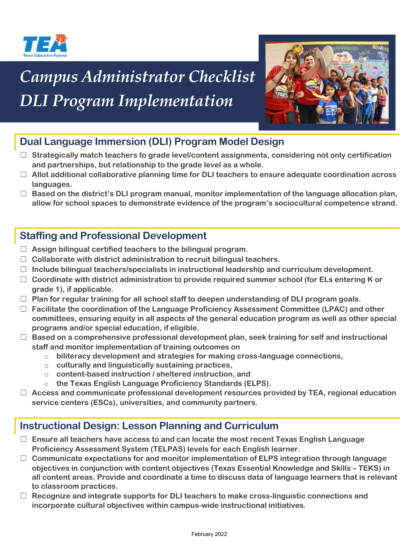

# *Campus Administrator Checklist DLI Program Implementation*



# **Dual Language Immersion (DLI) Program Model Design**

- ☐ **Strategically match teachers to grade level/content assignments, considering not only certification and partnerships, but relationship to the grade level as a whole.**
- ☐ **Allot additional collaborative planning time for DLI teachers to ensure adequate coordination across languages.**
- ☐ **Based on the district's DLI program manual, monitor implementation of the language allocation plan, allow for school spaces to demonstrate evidence of the program's sociocultural competence strand.**

#### **Staffing and Professional Development**

- ☐ **Assign bilingual certified teachers to the bilingual program.**
- ☐ **Collaborate with district administration to recruit bilingual teachers.**
- ☐ **Include bilingual teachers/specialists in instructional leadership and curriculum development.**
- ☐ **Coordinate with district administration to provide required summer school (for ELs entering K or grade 1), if applicable.**
- ☐ **Plan for regular training for all school staff to deepen understanding of DLI program goals.**
- ☐ **Facilitate the coordination of the Language Proficiency Assessment Committee (LPAC) and other committees, ensuring equity in all aspects of the general education program as well as other special programs and/or special education, if eligible.**
- ☐ **Based on a comprehensive professional development plan, seek training for self and instructional staff and monitor implementation of training outcomes on**
	- o **biliteracy development and strategies for making cross-language connections,**
	- o **culturally and linguistically sustaining practices,**
	- o **content-based instruction / sheltered instruction, and**
	- o **the Texas English Language Proficiency Standards (ELPS).**
- ☐ **Access and communicate professional development resources provided by TEA, regional education service centers (ESCs), universities, and community partners.**

### **Instructional Design: Lesson Planning and Curriculum**

- ☐ **Ensure all teachers have access to and can locate the most recent Texas English Language Proficiency Assessment System (TELPAS) levels for each English learner.**
- ☐ **Communicate expectations for and monitor implementation of ELPS integration through language objectives in conjunction with content objectives (Texas Essential Knowledge and Skills – TEKS) in all content areas. Provide and coordinate a time to discuss data of language learners that is relevant to classroom practices.**
- ☐ **Recognize and integrate supports for DLI teachers to make cross-linguistic connections and incorporate cultural objectives within campus-wide instructional initiatives.**